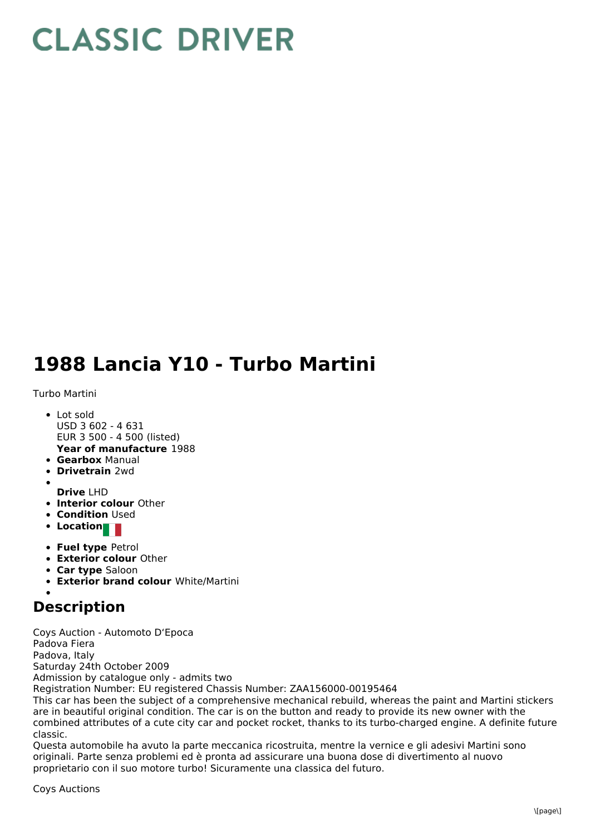## **CLASSIC DRIVER**

## **1988 Lancia Y10 - Turbo Martini**

Turbo Martini

- Lot sold USD 3 602 - 4 631 EUR 3 500 - 4 500 (listed)
- **Year of manufacture** 1988
- **Gearbox** Manual
- **Drivetrain** 2wd
- **Drive** LHD
- **Interior colour** Other
- **Condition Used**
- **Location**
- **Fuel type** Petrol
- **Exterior colour** Other
- **Car type** Saloon
- **Exterior brand colour** White/Martini

## **Description**

Coys Auction - Automoto D'Epoca Padova Fiera Padova, Italy Saturday 24th October 2009 Admission by catalogue only - admits two Registration Number: EU registered Chassis Number: ZAA156000-00195464

This car has been the subject of a comprehensive mechanical rebuild, whereas the paint and Martini stickers are in beautiful original condition. The car is on the button and ready to provide its new owner with the combined attributes of a cute city car and pocket rocket, thanks to its turbo-charged engine. A definite future classic.

Questa automobile ha avuto la parte meccanica ricostruita, mentre la vernice e gli adesivi Martini sono originali. Parte senza problemi ed è pronta ad assicurare una buona dose di divertimento al nuovo proprietario con il suo motore turbo! Sicuramente una classica del futuro.

Coys Auctions